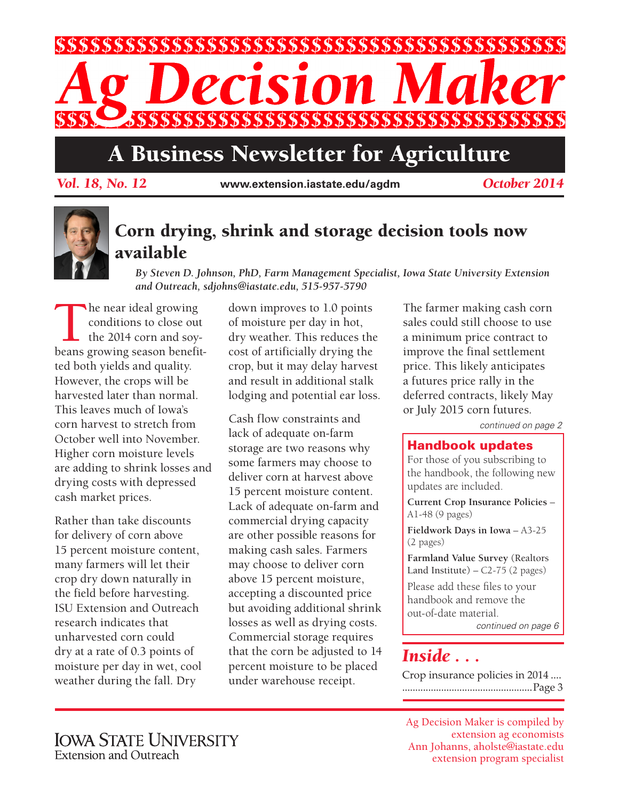

# A Business Newsletter for Agriculture

*Vol. 18, No. 12* **www.extension.iastate.edu/agdm** *October 2014*



### Corn drying, shrink and storage decision tools now available

*By Steven D. Johnson, PhD, Farm Management Specialist, Iowa State University Extension and Outreach, sdjohns@iastate.edu, 515-957-5790*

The near ideal growing<br>conditions to close out<br>the 2014 corn and soy-<br>beans growing season benefit conditions to close out the 2014 corn and soybeans growing season benefitted both yields and quality. However, the crops will be harvested later than normal. This leaves much of Iowa's corn harvest to stretch from October well into November. Higher corn moisture levels are adding to shrink losses and drying costs with depressed cash market prices.

Rather than take discounts for delivery of corn above 15 percent moisture content, many farmers will let their crop dry down naturally in the field before harvesting. ISU Extension and Outreach research indicates that unharvested corn could dry at a rate of 0.3 points of moisture per day in wet, cool weather during the fall. Dry

down improves to 1.0 points of moisture per day in hot, dry weather. This reduces the cost of artificially drying the crop, but it may delay harvest and result in additional stalk lodging and potential ear loss.

Cash flow constraints and lack of adequate on-farm storage are two reasons why some farmers may choose to deliver corn at harvest above 15 percent moisture content. Lack of adequate on-farm and commercial drying capacity are other possible reasons for making cash sales. Farmers may choose to deliver corn above 15 percent moisture, accepting a discounted price but avoiding additional shrink losses as well as drying costs. Commercial storage requires that the corn be adjusted to 14 percent moisture to be placed under warehouse receipt.

The farmer making cash corn sales could still choose to use a minimum price contract to improve the final settlement price. This likely anticipates a futures price rally in the deferred contracts, likely May or July 2015 corn futures.

*continued on page 2*

#### Handbook updates

For those of you subscribing to the handbook, the following new updates are included.

**Current Crop Insurance Policies** – A1-48 (9 pages)

**Fieldwork Days in Iowa** – A3-25 (2 pages)

**Farmland Value Survey** (Realtors Land Institute)  $-$  C2-75 (2 pages)

Please add these files to your handbook and remove the out-of-date material.

*continued on page 6*

### *Inside . . .*

Crop insurance policies in 2014 .... ..................................................Page 3

Ag Decision Maker is compiled by extension ag economists Ann Johanns, aholste@iastate.edu extension program specialist